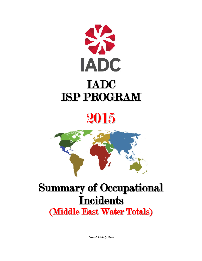





# Summary of Occupational **Incidents** (Middle East Water Totals)

Issued 15 July 2016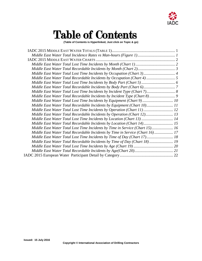

# Table of Contents

**(Table of Contents is Hyperlinked, Just click on Topic & go)**

| Middle East Water Total Lost Time Incidents by Occupation (Chart 3) 4         |
|-------------------------------------------------------------------------------|
|                                                                               |
|                                                                               |
|                                                                               |
|                                                                               |
| Middle East Water Total Recordable Incidents by Incident Type (Chart 8) 9     |
| Middle East Water Total Lost Time Incidents by Equipment (Chart 9) 10         |
| Middle East Water Total Recordable Incidents by Equipment (Chart 10) 11       |
| Middle East Water Total Lost Time Incidents by Operation (Chart 11) 12        |
| Middle East Water Total Recordable Incidents by Operation (Chart 12) 13       |
| Middle East Water Total Lost Time Incidents by Location (Chart 13)  14        |
| Middle East Water Total Recordable Incidents by Location (Chart 14) 15        |
| Middle East Water Total Lost Time Incidents by Time in Service (Chart 15) 16  |
| Middle East Water Total Recordable Incidents by Time in Service (Chart 16) 17 |
| Middle East Water Total Lost Time Incidents by Time of Day (Chart 17) 18      |
| Middle East Water Total Recordable Incidents by Time of Day (Chart 18) 19     |
|                                                                               |
|                                                                               |
|                                                                               |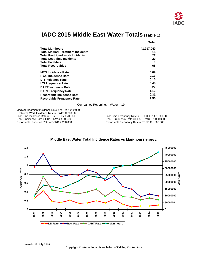

### <span id="page-2-0"></span>**IADC 2015 Middle East Water Totals (Table 1)**

|                                          | <b>Total</b> |
|------------------------------------------|--------------|
| <b>Total Man-hours</b>                   | 41,917,040   |
| <b>Total Medical Treatment Incidents</b> | 18           |
| <b>Total Restricted Work Incidents</b>   | 27           |
| <b>Total Lost Time Incidents</b>         | 20           |
| <b>Total Fatalities</b>                  | 0            |
| <b>Total Recordables</b>                 | 65           |
| <b>MTO Incidence Rate</b>                | 0.09         |
| <b>RWC Incidence Rate</b>                | 0.13         |
| <b>LTI Incidence Rate</b>                | 0.10         |
| <b>LTI Frequency Rate</b>                | 0.48         |
| <b>DART Incidence Rate</b>               | 0.22         |
| <b>DART Frequency Rate</b>               | 1.12         |
| Recordable Incidence Rate                | 0.31         |
| <b>Recordable Frequency Rate</b>         | 1.55         |

Companies Reporting: Water – 19

Medical Treatment Incidence Rate = MTOs X 200,000 Restricted Work Incidence Rate = RWCs X 200,000<br>Lost Time Incidence Rate = LTIs + FTLs X 200,000 Lost Time Incidence Rate = LTIs + FTLs X 200,000<br>DART Incidence Rate = LTIs + RWC X 200,000 DART Frequency Rate = LTIs + RWC X 1,000,000 DART Incidence Rate = LTIs + RWC X 200,000<br>
Recordable Incidence Rate = RCRD X 200,000 DRecordable Frequency Rate = RCRD X 1,000,000

Recordable Frequency Rate = RCRD  $X$  1,000,000

<span id="page-2-1"></span>

#### **Middle East Water Total Incidence Rates vs Man-hours (Figure 1)**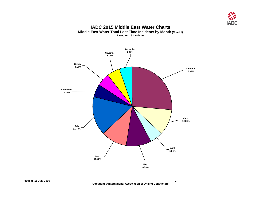

#### **IADC 2015 Middle East Water Charts Middle East Water Total Lost Time Incidents by Month (Chart 1) Based on 19 Incidents**

<span id="page-3-1"></span><span id="page-3-0"></span>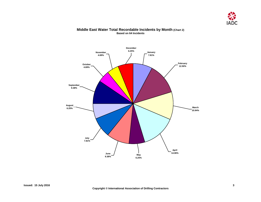

#### <span id="page-4-0"></span>**November 4.69% October 4.69% September 9.38% August 6.25% July 7.81% June 9.38% May**<br>9.38% **May 6.25% April 14.06% March 10.94% February 12.50% January 7.81% December 6.25%**

#### **Middle East Water Total Recordable Incidents by Month (Chart 2) Based on 64 Incidents**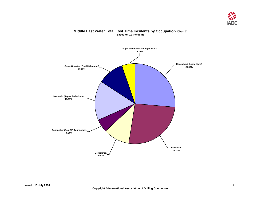

## <span id="page-5-0"></span>**Superintendent/other Supervisors 5.26% Toolpusher (Asst.TP, Tourpusher) 5.26% Derrickman 10.53% Floorman 26.32% Crane Operator (Forklift Operator) Roustabout (Lease Hand) 26.32% 10.53% Mechanic (Repair Technician) 15.79%**

#### **Middle East Water Total Lost Time Incidents by Occupation (Chart 3) Based on 19 Incidents**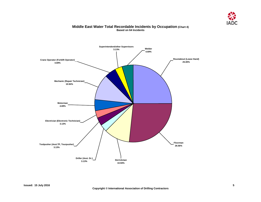

#### **Middle East Water Total Recordable Incidents by Occupation (Chart 4) Based on 64 Incidents**

<span id="page-6-0"></span>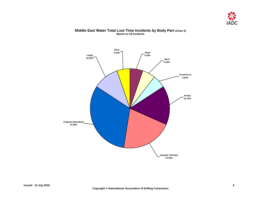

<span id="page-7-0"></span>

#### **Middle East Water Total Lost Time Incidents by Body Part (Chart 5) Based on 19 Incidents**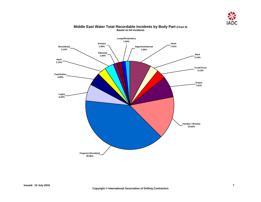

<span id="page-8-0"></span>

#### **Middle East Water Total Recordable Incidents by Body Part (Chart 6) Based on 64 incidents**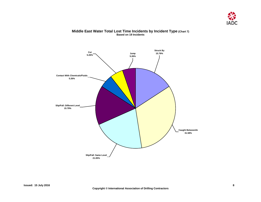

<span id="page-9-0"></span>

#### **Middle East Water Total Lost Time Incidents by Incident Type (Chart 7) Based on 19 Incidents**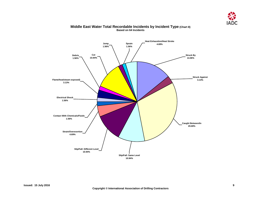

<span id="page-10-0"></span>

#### **Middle East Water Total Recordable Incidents by Incident Type (Chart 8) Based on 64 Incidents**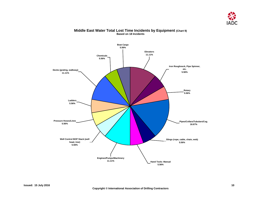

<span id="page-11-0"></span>

#### **Middle East Water Total Lost Time Incidents by Equipment (Chart 9) Based on 18 Incidents**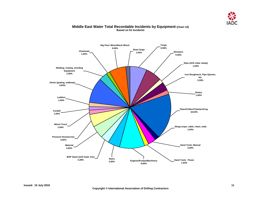

#### **Middle East Water Total Recordable Incidents by Equipment (Chart 10) Based on 61 Incidents**

<span id="page-12-0"></span>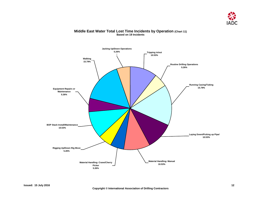

#### **Middle East Water Total Lost Time Incidents by Operation (Chart 11) Based on 19 Incidents**

<span id="page-13-0"></span>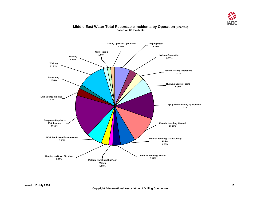

#### **Middle East Water Total Recordable Incidents by Operation (Chart 12) Based on 63 Incidents**

<span id="page-14-0"></span>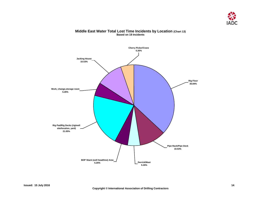

### <span id="page-15-0"></span>**Rig Pad/Rig Decks (rig/well site/location, yard) 21.05% Cherry Picker/Crane 5.26% Rig Floor 36.84% Pipe Rack/Pipe Deck 10.53% Derrick/Mast 5.26% BOP Stack (well head/tree) Area 5.26% Work, change,storage room 5.26% Jacking House 10.53%**

#### **Middle East Water Total Lost Time Incidents by Location (Chart 13) Based on 19 Incidents**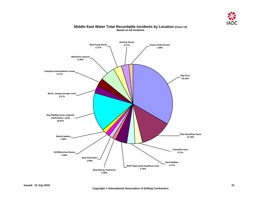

<span id="page-16-0"></span>

#### **Middle East Water Total Recordable Incidents by Location (Chart 14) Based on 63 Incidents**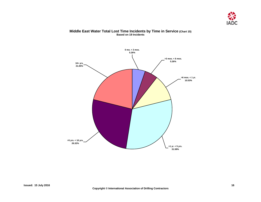

#### **Middle East Water Total Lost Time Incidents by Time in Service (Chart 15) Based on 19 Incidents**

<span id="page-17-0"></span>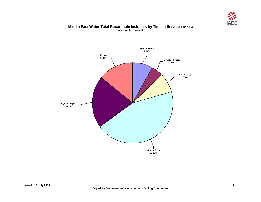

#### **Middle East Water Total Recordable Incidents by Time in Service (Chart 16) Based on 63 Incidents**

<span id="page-18-0"></span>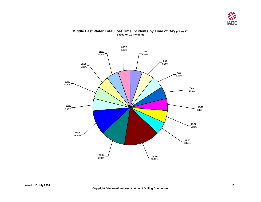

#### <span id="page-19-0"></span>**20:00 5.26% 19:00 5.26% 16:00 10.53% 4:00 5.26% 1:00 5.26% 3:00 5.26% 7:00 5.26% 10:00 5.26% 11:00 5.26% 12:00 5.26% 14:00 15.79% 15:00 10.53% 18:00 5.26% 21:00 5.26% 22:00 5.26%**

#### **Middle East Water Total Lost Time Incidents by Time of Day (Chart 17) Based on 19 Incidents**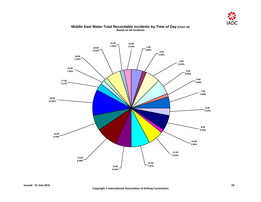

#### **Middle East Water Total Recordable Incidents by Time of Day (Chart 18) Based on 64 Incidents**

<span id="page-20-0"></span>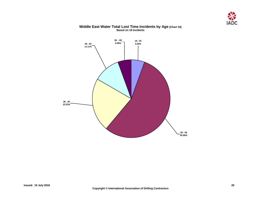



#### **Middle East Water Total Lost Time Incidents by Age (Chart 19) Based on 18 Incidents**